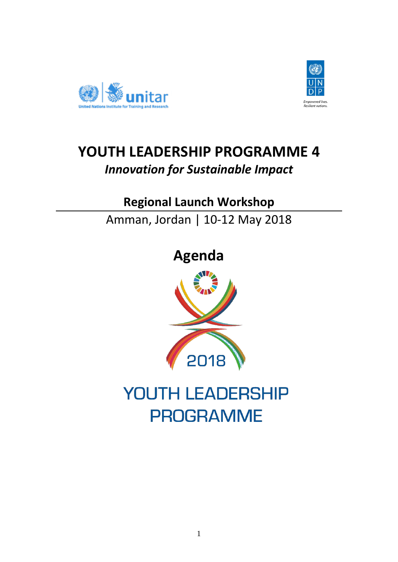



## **YOUTH LEADERSHIP PROGRAMME 4**  *Innovation for Sustainable Impact*

### **Regional Launch Workshop**

Amman, Jordan | 10-12 May 2018

# **Agenda**



# YOUTH LEADERSHIP **PROGRAMME**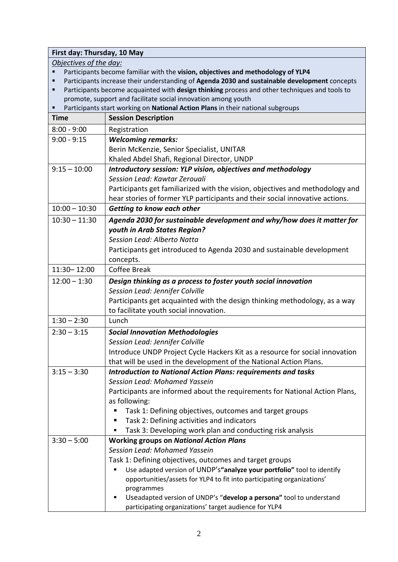### **First day: Thursday, 10 May** *Objectives of the day:*  Participants become familiar with the **vision, objectives and methodology of YLP4** Participants increase their understanding of **Agenda 2030 and sustainable development** concepts Participants become acquainted with **design thinking** process and other techniques and tools to promote, support and facilitate social innovation among youth Participants start working on **National Action Plans** in their national subgroups **Time Session Description** 8:00 - 9:00 Registration 9:00 - 9:15 *Welcoming remarks:*  Berin McKenzie, Senior Specialist, UNITAR Khaled Abdel Shafi, Regional Director, UNDP 9:15 – 10:00 *Introductory session: YLP vision, objectives and methodology Session Lead: Kawtar Zerouali* Participants get familiarized with the vision, objectives and methodology and hear stories of former YLP participants and their social innovative actions. 10:00 – 10:30 *Getting to know each other*  10:30 – 11:30 *Agenda 2030 for sustainable development and why/how does it matter for youth in Arab States Region? Session Lead: Alberto Natta* Participants get introduced to Agenda 2030 and sustainable development concepts. 11:30– 12:00 Coffee Break 12:00 – 1:30 *Design thinking as a process to foster youth social innovation Session Lead: Jennifer Colville* Participants get acquainted with the design thinking methodology, as a way to facilitate youth social innovation. 1:30 – 2:30 Lunch 2:30 – 3:15 *Social Innovation Methodologies Session Lead: Jennifer Colville*  Introduce [UNDP Project Cycle Hackers Kit](http://www.eurasia.undp.org/content/rbec/en/home/library/innovation/hackers-toolkit.html) as a resource for social innovation that will be used in the development of the National Action Plans. 3:15 – 3:30 *Introduction to National Action Plans: requirements and tasks Session Lead: Mohamed Yassein* Participants are informed about the requirements for National Action Plans, as following: ■ Task 1: Defining objectives, outcomes and target groups ■ Task 2: Defining activities and indicators Task 3: Developing work plan and conducting risk analysis 3:30 – 5:00 **Working groups on** *National Action Plans Session Lead: Mohamed Yassein* Task 1: Defining objectives, outcomes and target groups Use adapted version of UNDP's**"analyze your portfolio"** tool to identify opportunities/assets for YLP4 to fit into participating organizations' programmes Useadapted version of UNDP's "**develop a persona"** tool to understand participating organizations' target audience for YLP4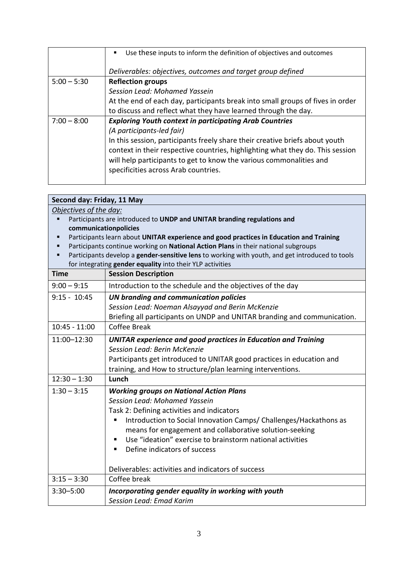|               | Use these inputs to inform the definition of objectives and outcomes                                                                                                                                                                                                          |
|---------------|-------------------------------------------------------------------------------------------------------------------------------------------------------------------------------------------------------------------------------------------------------------------------------|
|               | Deliverables: objectives, outcomes and target group defined                                                                                                                                                                                                                   |
| $5:00 - 5:30$ | <b>Reflection groups</b>                                                                                                                                                                                                                                                      |
|               | Session Lead: Mohamed Yassein                                                                                                                                                                                                                                                 |
|               | At the end of each day, participants break into small groups of fives in order                                                                                                                                                                                                |
|               | to discuss and reflect what they have learned through the day.                                                                                                                                                                                                                |
| $7:00 - 8:00$ | <b>Exploring Youth context in participating Arab Countries</b>                                                                                                                                                                                                                |
|               | (A participants-led fair)                                                                                                                                                                                                                                                     |
|               | In this session, participants freely share their creative briefs about youth<br>context in their respective countries, highlighting what they do. This session<br>will help participants to get to know the various commonalities and<br>specificities across Arab countries. |

| Second day: Friday, 11 May                                                                           |                                                                          |  |
|------------------------------------------------------------------------------------------------------|--------------------------------------------------------------------------|--|
| Objectives of the day:                                                                               |                                                                          |  |
| Participants are introduced to UNDP and UNITAR branding regulations and<br>$\blacksquare$            |                                                                          |  |
| communicationpolicies                                                                                |                                                                          |  |
| Participants learn about UNITAR experience and good practices in Education and Training<br>п         |                                                                          |  |
| Participants continue working on National Action Plans in their national subgroups                   |                                                                          |  |
| Participants develop a gender-sensitive lens to working with youth, and get introduced to tools<br>٠ |                                                                          |  |
| for integrating gender equality into their YLP activities                                            |                                                                          |  |
| <b>Time</b>                                                                                          | <b>Session Description</b>                                               |  |
| $9:00 - 9:15$                                                                                        | Introduction to the schedule and the objectives of the day               |  |
| $9:15 - 10:45$                                                                                       | UN branding and communication policies                                   |  |
|                                                                                                      | Session Lead: Noeman Alsayyad and Berin McKenzie                         |  |
|                                                                                                      | Briefing all participants on UNDP and UNITAR branding and communication. |  |
| $10:45 - 11:00$                                                                                      | Coffee Break                                                             |  |
| 11:00-12:30                                                                                          | <b>UNITAR experience and good practices in Education and Training</b>    |  |
|                                                                                                      | <b>Session Lead: Berin McKenzie</b>                                      |  |
|                                                                                                      | Participants get introduced to UNITAR good practices in education and    |  |
|                                                                                                      | training, and How to structure/plan learning interventions.              |  |
| $12:30 - 1:30$                                                                                       | Lunch                                                                    |  |
| $1:30 - 3:15$                                                                                        | <b>Working groups on National Action Plans</b>                           |  |
|                                                                                                      | Session Lead: Mohamed Yassein                                            |  |
|                                                                                                      | Task 2: Defining activities and indicators                               |  |
|                                                                                                      | Introduction to Social Innovation Camps/ Challenges/Hackathons as<br>п   |  |
|                                                                                                      | means for engagement and collaborative solution-seeking                  |  |
|                                                                                                      | Use "ideation" exercise to brainstorm national activities                |  |
|                                                                                                      | Define indicators of success                                             |  |
|                                                                                                      |                                                                          |  |
|                                                                                                      | Deliverables: activities and indicators of success                       |  |
| $3:15 - 3:30$                                                                                        | Coffee break                                                             |  |
| $3:30 - 5:00$                                                                                        | Incorporating gender equality in working with youth                      |  |
|                                                                                                      | Session Lead: Emad Karim                                                 |  |